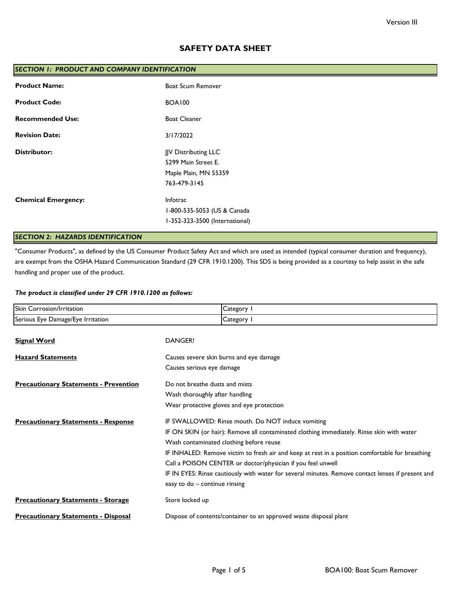# **SAFETY DATA SHEET**

| SECTION 1: PRODUCT AND COMPANY IDENTIFICATION |                                |  |
|-----------------------------------------------|--------------------------------|--|
| <b>Product Name:</b>                          | <b>Boat Scum Remover</b>       |  |
| <b>Product Code:</b>                          | <b>BOA100</b>                  |  |
| <b>Recommended Use:</b>                       | <b>Boat Cleaner</b>            |  |
| <b>Revision Date:</b>                         | 3/17/2022                      |  |
| <b>Distributor:</b>                           | JJV Distributing LLC           |  |
|                                               | 5299 Main Street E.            |  |
|                                               | Maple Plain, MN 55359          |  |
|                                               | 763-479-3145                   |  |
| <b>Chemical Emergency:</b>                    | Infotrac                       |  |
|                                               | 1-800-535-5053 (US & Canada    |  |
|                                               | I-352-323-3500 (International) |  |
|                                               |                                |  |

# *SECTION 2: HAZARDS IDENTIFICATION*

"Consumer Products", as defined by the US Consumer Product Safety Act and which are used as intended (typical consumer duration and frequency), are exempt from the OSHA Hazard Communication Standard (29 CFR 1910.1200). This SDS is being provided as a courtesy to help assist in the safe handling and proper use of the product.

## *The product is classified under 29 CFR 1910.1200 as follows:*

| Skin Corrosion/Irritation                    | Category 1                                                                                        |  |
|----------------------------------------------|---------------------------------------------------------------------------------------------------|--|
| Serious Eye Damage/Eye Irritation            | Category I                                                                                        |  |
| <b>Signal Word</b>                           | DANGER!                                                                                           |  |
| <b>Hazard Statements</b>                     | Causes severe skin burns and eye damage                                                           |  |
|                                              | Causes serious eye damage                                                                         |  |
| <b>Precautionary Statements - Prevention</b> | Do not breathe dusts and mists                                                                    |  |
|                                              | Wash thoroughly after handling                                                                    |  |
|                                              | Wear protective gloves and eye protection                                                         |  |
| <b>Precautionary Statements - Response</b>   | IF SWALLOWED: Rinse mouth. Do NOT induce vomiting                                                 |  |
|                                              | IF ON SKIN (or hair): Remove all contaminated clothing immediately. Rinse skin with water         |  |
|                                              | Wash contaminated clothing before reuse                                                           |  |
|                                              | IF INHALED: Remove victim to fresh air and keep at rest in a position comfortable for breathing   |  |
|                                              | Call a POISON CENTER or doctor/physician if you feel unwell                                       |  |
|                                              | IF IN EYES: Rinse cautiously with water for several minutes. Remove contact lenses if present and |  |
|                                              | easy to do - continue rinsing                                                                     |  |
| <b>Precautionary Statements - Storage</b>    | Store locked up                                                                                   |  |
| <b>Precautionary Statements - Disposal</b>   | Dispose of contents/container to an approved waste disposal plant                                 |  |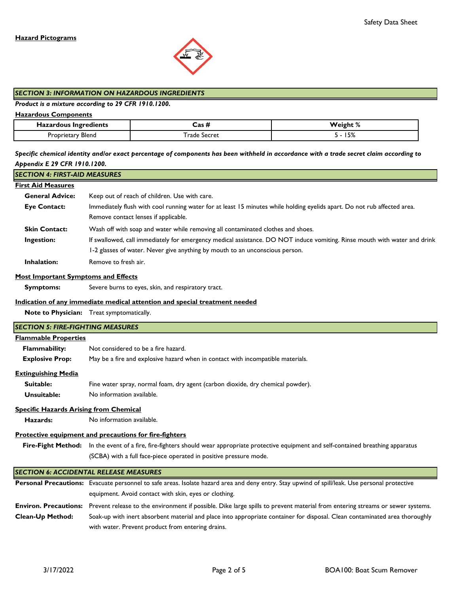

#### *SECTION 3: INFORMATION ON HAZARDOUS INGREDIENTS*

## *Product is a mixture according to 29 CFR 1910.1200.*

#### **Hazardous Components**

| Hazardous Ingredients | $\sim$<br>ד כבש | $\mathbf{c}$<br>'eight %  |
|-----------------------|-----------------|---------------------------|
| Bleng<br>retary)،     | Secret<br>rade. | $\overline{P}$<br>  J / c |

*Specific chemical identity and/or exact percentage of components has been withheld in accordance with a trade secret claim according to Appendix E 29 CFR 1910.1200.*

# *SECTION 4: FIRST-AID MEASURES*

## **First Aid Measures**

| <b>General Advice:</b> | Keep out of reach of children. Use with care.                                                                             |
|------------------------|---------------------------------------------------------------------------------------------------------------------------|
| <b>Eye Contact:</b>    | Immediately flush with cool running water for at least 15 minutes while holding eyelids apart. Do not rub affected area.  |
|                        | Remove contact lenses if applicable.                                                                                      |
| <b>Skin Contact:</b>   | Wash off with soap and water while removing all contaminated clothes and shoes.                                           |
| Ingestion:             | If swallowed, call immediately for emergency medical assistance. DO NOT induce vomiting. Rinse mouth with water and drink |
|                        | 1-2 glasses of water. Never give anything by mouth to an unconscious person.                                              |
| <b>Inhalation:</b>     | Remove to fresh air.                                                                                                      |

#### **Most Important Symptoms and Effects**

 **Symptoms:** Severe burns to eyes, skin, and respiratory tract.

#### **Indication of any immediate medical attention and special treatment needed**

**Note to Physician:** Treat symptomatically.

# **Flammable Properties Flammability: Explosive Prop:** May be a fire and explosive hazard when in contact with incompatible materials.  **Suitable: Unsuitable: Hazards:** Fire-Fight Method: In the event of a fire, fire-fighters should wear appropriate protective equipment and self-contained breathing apparatus Personal Precautions: Evacuate personnel to safe areas. Isolate hazard area and deny entry. Stay upwind of spill/leak. Use personal protective Fine water spray, normal foam, dry agent (carbon dioxide, dry chemical powder). **Protective equipment and precautions for fire-fighters** *SECTION 5: FIRE-FIGHTING MEASURES* Not considered to be a fire hazard. **Specific Hazards Arising from Chemical** No information available. *SECTION 6: ACCIDENTAL RELEASE MEASURES* (SCBA) with a full face-piece operated in positive pressure mode. No information available. **Extinguishing Media**

|                         | equipment. Avoid contact with skin, eyes or clothing.                                                                                                      |
|-------------------------|------------------------------------------------------------------------------------------------------------------------------------------------------------|
|                         | <b>Environ. Precautions:</b> Prevent release to the environment if possible. Dike large spills to prevent material from entering streams or sewer systems. |
| <b>Clean-Up Method:</b> | Soak-up with inert absorbent material and place into appropriate container for disposal. Clean contaminated area thoroughly                                |
|                         | with water. Prevent product from entering drains.                                                                                                          |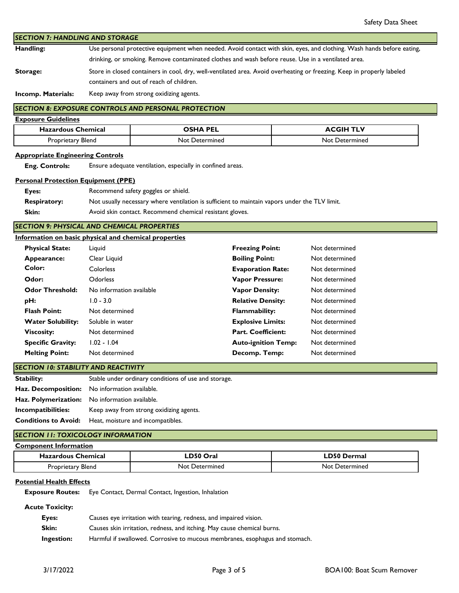**Handling: Storage:** *SECTION 7: HANDLING AND STORAGE* Store in closed containers in cool, dry, well-ventilated area. Avoid overheating or freezing. Keep in properly labeled containers and out of reach of children. Use personal protective equipment when needed. Avoid contact with skin, eyes, and clothing. Wash hands before eating, drinking, or smoking. Remove contaminated clothes and wash before reuse. Use in a ventilated area.

**Incomp. Materials:** Keep away from strong oxidizing agents.

# **SECTION 8: EXPOSURE CONTROLS AND PERSONAL PROTECTION**

| <b>Exposure Guidelines</b> |                 |                  |
|----------------------------|-----------------|------------------|
| <b>Hazardous Chemical</b>  | <b>OSHA PEL</b> | <b>ACGIH TLV</b> |
| Proprietary Blend          | Not Determined  | Not Determined   |

## **Appropriate Engineering Controls**

 **Eng. Controls:** Ensure adequate ventilation, especially in confined areas.

## **Personal Protection Equipment (PPE)**

| Eyes:               | Recommend safety goggles or shield.                                                           |
|---------------------|-----------------------------------------------------------------------------------------------|
| <b>Respiratory:</b> | Not usually necessary where ventilation is sufficient to maintain vapors under the TLV limit. |
| Skin:               | Avoid skin contact. Recommend chemical resistant gloves.                                      |

*SECTION 9: PHYSICAL AND CHEMICAL PROPERTIES*

|                          | Information on basic physical and chemical properties |                            |                |
|--------------------------|-------------------------------------------------------|----------------------------|----------------|
| <b>Physical State:</b>   | Liguid                                                | <b>Freezing Point:</b>     | Not determined |
| Appearance:              | Clear Liquid                                          | <b>Boiling Point:</b>      | Not determined |
| Color:                   | <b>Colorless</b>                                      | <b>Evaporation Rate:</b>   | Not determined |
| Odor:                    | <b>Odorless</b>                                       | <b>Vapor Pressure:</b>     | Not determined |
| <b>Odor Threshold:</b>   | No information available                              | <b>Vapor Density:</b>      | Not determined |
| pH:                      | $1.0 - 3.0$                                           | <b>Relative Density:</b>   | Not determined |
| <b>Flash Point:</b>      | Not determined                                        | <b>Flammability:</b>       | Not determined |
| <b>Water Solubility:</b> | Soluble in water                                      | <b>Explosive Limits:</b>   | Not determined |
| <b>Viscosity:</b>        | Not determined                                        | <b>Part. Coefficient:</b>  | Not determined |
| <b>Specific Gravity:</b> | $1.02 - 1.04$                                         | <b>Auto-ignition Temp:</b> | Not determined |
| <b>Melting Point:</b>    | Not determined                                        | Decomp. Temp:              | Not determined |
|                          |                                                       |                            |                |

**Stability: Haz. Decomposition:** No information available. **Haz. Polymerization:** No information available. Stable under ordinary conditions of use and storage. *SECTION 10: STABILITY AND REACTIVITY*

**Incompatibilities:** Keep away from strong oxidizing agents.

**Conditions to Avoid:** Heat, moisture and incompatibles.

# *SECTION 11: TOXICOLOGY INFORMATION*

| <b>Component Information</b> |                |                    |
|------------------------------|----------------|--------------------|
| <b>Hazardous Chemical</b>    | LD50 Oral      | <b>LD50 Dermal</b> |
| Proprietary Blend            | Not Determined | Not Determined     |

# **Potential Health Effects**

 **Exposure Routes:** Eye Contact, Dermal Contact, Ingestion, Inhalation

 **Acute Toxicity:**

| Eyes:      | Causes eye irritation with tearing, redness, and impaired vision.           |
|------------|-----------------------------------------------------------------------------|
| Skin:      | Causes skin irritation, redness, and itching. May cause chemical burns.     |
| Ingestion: | Harmful if swallowed. Corrosive to mucous membranes, esophagus and stomach. |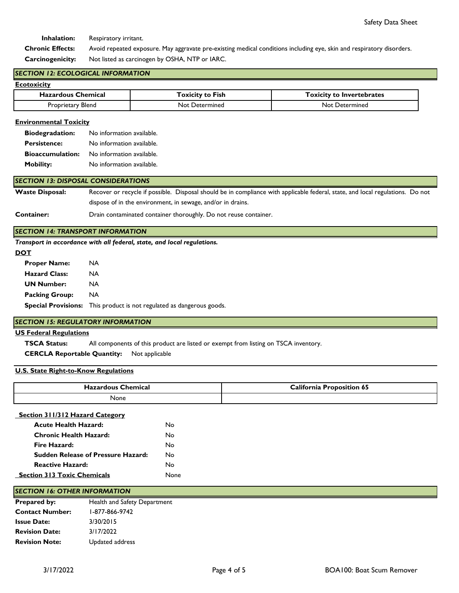**Inhalation:** Respiratory irritant.

 **Chronic Effects: Carcinogenicity:** Not listed as carcinogen by OSHA, NTP or IARC. Avoid repeated exposure. May aggravate pre-existing medical conditions including eye, skin and respiratory disorders.

## *SECTION 12: ECOLOGICAL INFORMATION*

| Ecotoxicity               |                         |                                  |
|---------------------------|-------------------------|----------------------------------|
| <b>Hazardous Chemical</b> | <b>Toxicity to Fish</b> | <b>Toxicity to Invertebrates</b> |
| Proprietary Blend         | Not Determined          | <b>Not Determined</b>            |

## **Environmental Toxicity**

| <b>Biodegradation:</b>  | No information available. |
|-------------------------|---------------------------|
| <b>Persistence:</b>     | No information available. |
| <b>Bioaccumulation:</b> | No information available. |
| <b>Mobility:</b>        | No information available. |

#### *SECTION 13: DISPOSAL CONSIDERATIONS*

**Waste Disposal:** Recover or recycle if possible. Disposal should be in compliance with applicable federal, state, and local regulations. Do not dispose of in the environment, in sewage, and/or in drains.

#### **Container:** Drain contaminated container thoroughly. Do not reuse container.

## *SECTION 14: TRANSPORT INFORMATION*

*Transport in accordance with all federal, state, and local regulations.* 

#### **DOT**

| <b>Proper Name:</b>   | NA.                                                                          |
|-----------------------|------------------------------------------------------------------------------|
| <b>Hazard Class:</b>  | NA.                                                                          |
| <b>UN Number:</b>     | NA.                                                                          |
| <b>Packing Group:</b> | NA                                                                           |
|                       | <b>Special Provisions:</b> This product is not regulated as dangerous goods. |
|                       |                                                                              |

## *SECTION 15: REGULATORY INFORMATION*

# **US Federal Regulations**

 **TSCA Status:** All components of this product are listed or exempt from listing on TSCA inventory.

 **CERCLA Reportable Quantity:** Not applicable

## **U.S. State Right-to-Know Regulations**

| ้ hemical<br>$-1272$<br>nıcaı<br>Эaz.<br>. | . .<br>$\cap$ alifornia<br>`on 65<br>. |
|--------------------------------------------|----------------------------------------|
| None                                       |                                        |

#### **Section 311/312 Hazard Category**

| <b>Acute Health Hazard:</b>               | N٥          |
|-------------------------------------------|-------------|
| Chronic Health Hazard:                    | N٥          |
| Fire Hazard:                              | N٥          |
| <b>Sudden Release of Pressure Hazard:</b> | N٥          |
| <b>Reactive Hazard:</b>                   | N٥          |
| <b>Section 313 Toxic Chemicals</b>        | <b>None</b> |
|                                           |             |

## *SECTION 16: OTHER INFORMATION*

| <b>Prepared by:</b>    | Health and Safety Department |
|------------------------|------------------------------|
| <b>Contact Number:</b> | 1-877-866-9742               |
| <b>Issue Date:</b>     | 3/30/2015                    |
| <b>Revision Date:</b>  | 3/17/2022                    |
| <b>Revision Note:</b>  | Updated address              |